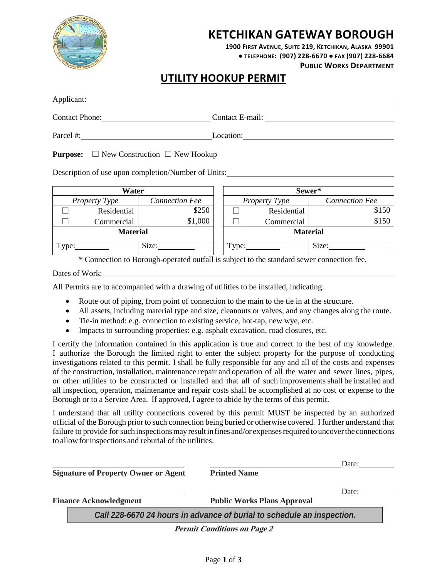

# **KETCHIKAN GATEWAY BOROUGH**

**1900 FIRST AVENUE, SUITE 219, KETCHIKAN, ALASKA 99901 ● TELEPHONE: (907) 228-6670 ● FAX (907) 228-6684**

**PUBLIC WORKS DEPARTMENT**

### **UTILITY HOOKUP PERMIT**

| Applicant:            |                 |
|-----------------------|-----------------|
| <b>Contact Phone:</b> | Contact E-mail: |
| Parcel #:             | Location:       |

**Purpose:** □ New Construction □ New Hookup

Description of use upon completion/Number of Units:

| Water                |             | Sewer*                |                 |             |                       |
|----------------------|-------------|-----------------------|-----------------|-------------|-----------------------|
| <b>Property Type</b> |             | <b>Connection Fee</b> | Property Type   |             | <b>Connection Fee</b> |
|                      | Residential | \$250                 |                 | Residential | \$150                 |
|                      | Commercial  | \$1,000               |                 | Commercial  | \$150                 |
| <b>Material</b>      |             |                       | <b>Material</b> |             |                       |
| Type:                |             | Size:                 | l'ype:          |             | Size:                 |

\* Connection to Borough-operated outfall is subject to the standard sewer connection fee.

Dates of Work:

All Permits are to accompanied with a drawing of utilities to be installed, indicating:

- Route out of piping, from point of connection to the main to the tie in at the structure.
- All assets, including material type and size, cleanouts or valves, and any changes along the route.
- Tie-in method: e.g. connection to existing service, hot-tap, new wye, etc.
- Impacts to surrounding properties: e.g. asphalt excavation, road closures, etc.

I certify the information contained in this application is true and correct to the best of my knowledge. I authorize the Borough the limited right to enter the subject property for the purpose of conducting investigations related to this permit. I shall be fully responsible for any and all of the costs and expenses of the construction, installation, maintenance repair and operation of all the water and sewer lines, pipes, or other utilities to be constructed or installed and that all of such improvements shall be installed and all inspection, operation, maintenance and repair costs shall be accomplished at no cost or expense to the Borough or to a Service Area. If approved, I agree to abide by the terms of this permit.

I understand that all utility connections covered by this permit MUST be inspected by an authorized official of the Borough prior to such connection being buried or otherwise covered. I further understand that failure to provide for such inspections may result in fines and/or expenses required to uncover the connections to allowforinspections and reburial of the utilities.

| <b>Signature of Property Owner or Agent</b>                            | Date:<br><b>Printed Name</b>                |  |  |  |  |
|------------------------------------------------------------------------|---------------------------------------------|--|--|--|--|
| <b>Finance Acknowledgment</b>                                          | Date:<br><b>Public Works Plans Approval</b> |  |  |  |  |
| Call 228-6670 24 hours in advance of burial to schedule an inspection. |                                             |  |  |  |  |
|                                                                        | <b>Permit Conditions on Page 2</b>          |  |  |  |  |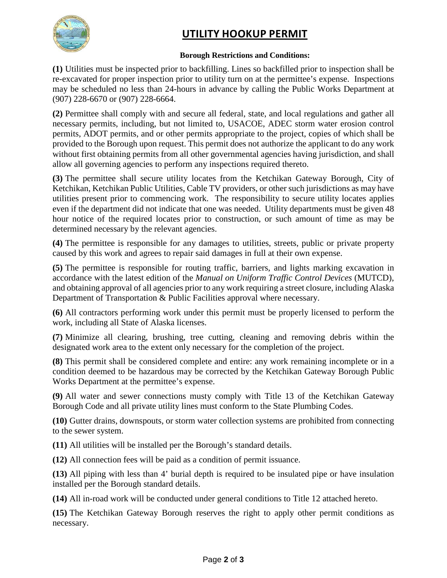

# **UTILITY HOOKUP PERMIT**

#### **Borough Restrictions and Conditions:**

**(1)** Utilities must be inspected prior to backfilling. Lines so backfilled prior to inspection shall be re-excavated for proper inspection prior to utility turn on at the permittee's expense. Inspections may be scheduled no less than 24-hours in advance by calling the Public Works Department at (907) 228-6670 or (907) 228-6664.

**(2)** Permittee shall comply with and secure all federal, state, and local regulations and gather all necessary permits, including, but not limited to, USACOE, ADEC storm water erosion control permits, ADOT permits, and or other permits appropriate to the project, copies of which shall be provided to the Borough upon request. This permit does not authorize the applicant to do any work without first obtaining permits from all other governmental agencies having jurisdiction, and shall allow all governing agencies to perform any inspections required thereto.

**(3)** The permittee shall secure utility locates from the Ketchikan Gateway Borough, City of Ketchikan, Ketchikan Public Utilities, Cable TV providers, or other such jurisdictions as may have utilities present prior to commencing work. The responsibility to secure utility locates applies even if the department did not indicate that one was needed. Utility departments must be given 48 hour notice of the required locates prior to construction, or such amount of time as may be determined necessary by the relevant agencies.

**(4)** The permittee is responsible for any damages to utilities, streets, public or private property caused by this work and agrees to repair said damages in full at their own expense.

**(5)** The permittee is responsible for routing traffic, barriers, and lights marking excavation in accordance with the latest edition of the *Manual on Uniform Traffic Control Devices* (MUTCD), and obtaining approval of all agencies prior to any work requiring a street closure, including Alaska Department of Transportation & Public Facilities approval where necessary.

**(6)** All contractors performing work under this permit must be properly licensed to perform the work, including all State of Alaska licenses.

**(7)** Minimize all clearing, brushing, tree cutting, cleaning and removing debris within the designated work area to the extent only necessary for the completion of the project.

**(8)** This permit shall be considered complete and entire: any work remaining incomplete or in a condition deemed to be hazardous may be corrected by the Ketchikan Gateway Borough Public Works Department at the permittee's expense.

**(9)** All water and sewer connections musty comply with Title 13 of the Ketchikan Gateway Borough Code and all private utility lines must conform to the State Plumbing Codes.

**(10)** Gutter drains, downspouts, or storm water collection systems are prohibited from connecting to the sewer system.

**(11)** All utilities will be installed per the Borough's standard details.

**(12)** All connection fees will be paid as a condition of permit issuance.

**(13)** All piping with less than 4' burial depth is required to be insulated pipe or have insulation installed per the Borough standard details.

**(14)** All in-road work will be conducted under general conditions to Title 12 attached hereto.

**(15)** The Ketchikan Gateway Borough reserves the right to apply other permit conditions as necessary.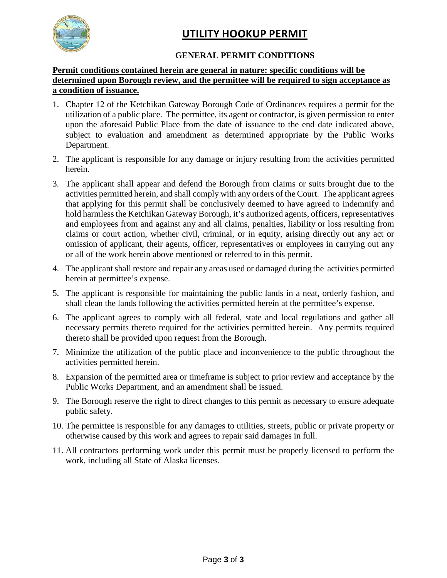

# **UTILITY HOOKUP PERMIT**

#### **GENERAL PERMIT CONDITIONS**

#### **Permit conditions contained herein are general in nature: specific conditions will be determined upon Borough review, and the permittee will be required to sign acceptance as a condition of issuance.**

- 1. Chapter 12 of the Ketchikan Gateway Borough Code of Ordinances requires a permit for the utilization of a public place. The permittee, its agent or contractor, is given permission to enter upon the aforesaid Public Place from the date of issuance to the end date indicated above, subject to evaluation and amendment as determined appropriate by the Public Works Department.
- 2. The applicant is responsible for any damage or injury resulting from the activities permitted herein.
- 3. The applicant shall appear and defend the Borough from claims or suits brought due to the activities permitted herein, and shall comply with any orders of the Court. The applicant agrees that applying for this permit shall be conclusively deemed to have agreed to indemnify and hold harmless the Ketchikan Gateway Borough, it's authorized agents, officers, representatives and employees from and against any and all claims, penalties, liability or loss resulting from claims or court action, whether civil, criminal, or in equity, arising directly out any act or omission of applicant, their agents, officer, representatives or employees in carrying out any or all of the work herein above mentioned or referred to in this permit.
- 4. The applicant shall restore and repair any areas used or damaged during the activities permitted herein at permittee's expense.
- 5. The applicant is responsible for maintaining the public lands in a neat, orderly fashion, and shall clean the lands following the activities permitted herein at the permittee's expense.
- 6. The applicant agrees to comply with all federal, state and local regulations and gather all necessary permits thereto required for the activities permitted herein. Any permits required thereto shall be provided upon request from the Borough.
- 7. Minimize the utilization of the public place and inconvenience to the public throughout the activities permitted herein.
- 8. Expansion of the permitted area or timeframe is subject to prior review and acceptance by the Public Works Department, and an amendment shall be issued.
- 9. The Borough reserve the right to direct changes to this permit as necessary to ensure adequate public safety.
- 10. The permittee is responsible for any damages to utilities, streets, public or private property or otherwise caused by this work and agrees to repair said damages in full.
- 11. All contractors performing work under this permit must be properly licensed to perform the work, including all State of Alaska licenses.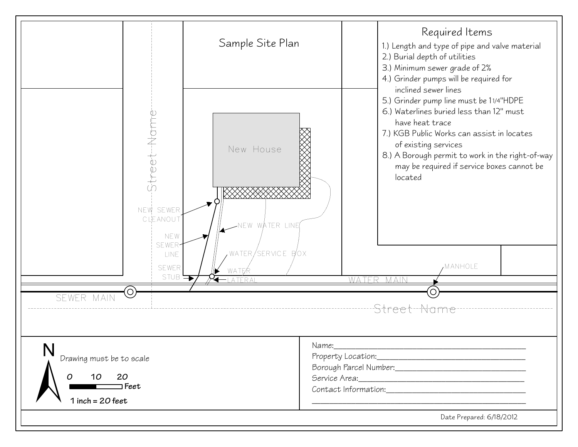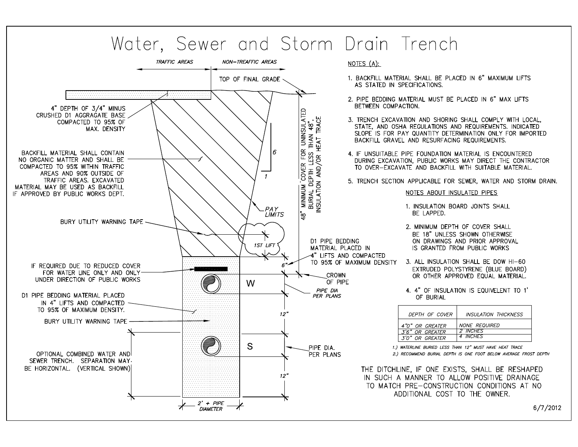

6/7/2012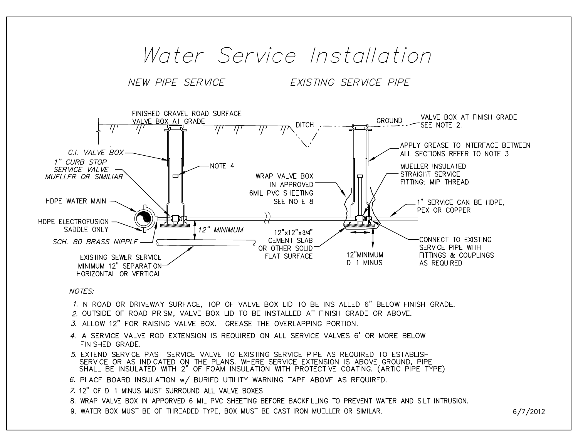# Water Service Installation

NEW PIPE SERVICE

EXISTING SERVICE PIPE



#### **NOTES:**

- 1. IN ROAD OR DRIVEWAY SURFACE, TOP OF VALVE BOX LID TO BE INSTALLED 6" BELOW FINISH GRADE.
- 2. OUTSIDE OF ROAD PRISM, VALVE BOX LID TO BE INSTALLED AT FINISH GRADE OR ABOVE.
- 3. ALLOW 12" FOR RAISING VALVE BOX. GREASE THE OVERLAPPING PORTION.
- 4. A SERVICE VALVE ROD EXTENSION IS REQUIRED ON ALL SERVICE VALVES 6' OR MORE BELOW FINISHED GRADE.
- 5. EXTEND SERVICE PAST SERVICE VALVE TO EXISTING SERVICE PIPE AS REQUIRED TO ESTABLISH SERVICE OR AS INDICATED ON THE PLANS. WHERE SERVICE EXTENSION IS ABOVE GROUND, PIPE SHALL BE INSULATED WITH 2" OF FOAM INSULATION WITH PROTECTIVE COATING. (ARTIC PIPE TYPE)
- 6. PLACE BOARD INSULATION w/ BURIED UTILITY WARNING TAPE ABOVE AS REQUIRED.
- 7. 12" OF D-1 MINUS MUST SURROUND ALL VALVE BOXES
- 8. WRAP VALVE BOX IN APPORVED 6 MIL PVC SHEETING BEFORE BACKFILLING TO PREVENT WATER AND SILT INTRUSION.
- 9. WATER BOX MUST BE OF THREADED TYPE, BOX MUST BE CAST IRON MUELLER OR SIMILAR.

 $6/7/2012$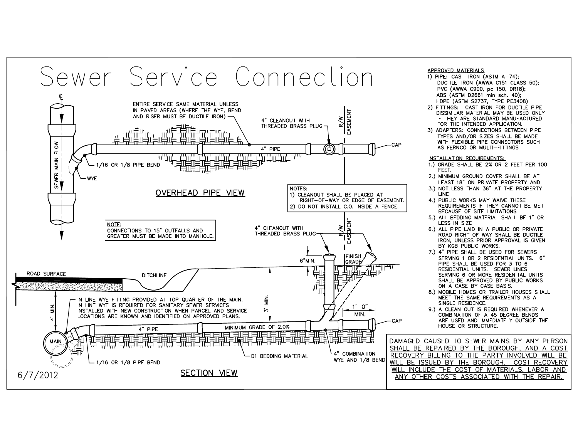# Sewer Service Connection



#### APPROVED MATERIALS

- 1) PIPE: CAST-IRON (ASTM A-74); DUCTILE-IRON (AWWA C151 CLASS 50): PVC (AWWA C900, pc 150, DR18): ABS (ASTM D2661 min sch. 40): HDPE (ASTM S2737, TYPE PE3408)
- 2) FITTINGS: CAST IRON FOR DUCTILE PIPE DISSIMILAR MATERIAL MAY BE USED ONLY IF THEY ARE STANDARD MANUFACTURED FOR THE INTENDED APPLICATION.
- 3) ADAPTERS: CONNECTIONS BETWEEN PIPE TYPES AND/OR SIZES SHALL BE MADE WITH FLEXIBLE PIPE CONNECTORS SUCH AS FERNCO OR MULTI-FITTINGS

#### INSTALLATION REQUIREMENTS:

- 1.) GRADE SHALL BE 2% OR 2 FEET PER 100 FEET.
- 2.) MINIMUM GROUND COVER SHALL BE AT LEAST 18" ON PRIVATE PROPERTY AND
- 3.) NOT LESS THAN 36" AT THE PROPERTY **LINE**
- 4.) PUBLIC WORKS MAY WAIVE THESE REQUIREMENTS IF THEY CANNOT BE MET BECAUSE OF SITE LIMITATIONS
- 5.) ALL BEDDING MATERIAL SHALL BE 1" OR LESS IN SIZE
- 6.) ALL PIPE LAID IN A PUBLIC OR PRIVATE ROAD RIGHT OF WAY SHALL BE DUCTILE IRON, UNLESS PRIOR APPROVAL IS GIVEN BY KGB PUBLIC WORKS.
- 7.) 4" PIPE SHALL BE USED FOR SEWERS SERVING 1 OR 2 RESIDENTIAL UNITS. 6" PIPE SHALL BE USED FOR 3 TO 6 RESIDENTIAL UNITS. SEWER LINES SERVING 6 OR MORE RESIDENTIAL UNITS SHALL BE APPROVED BY PUBLIC WORKS ON A CASE BY CASE BASIS.
- 8.) MOBILE HOMES OR TRAILER HOUSES SHALL MEET THE SAME REQUIREMENTS AS A SINGLE RESIDENCE.
- 9.) A CLEAN OUT IS REQUIRED WHENEVER A COMBINATION OF A 45 DEGREE BENDS ARE USED AND IMMEDIATELY OUTSIDE THE HOUSE OR STRUCTURE.

DAMAGED CAUSED TO SEWER MAINS BY ANY PERSON SHALL BE REPAIRED BY THE BOROUGH, AND A COST RECOVERY BILLING TO THE PARTY INVOLVED WILL BE WILL BE ISSUED BY THE BOROUGH. COST RECOVERY WILL INCLUDE THE COST OF MATERIALS, LABOR AND ANY OTHER COSTS ASSOCIATED WITH THE REPAIR.